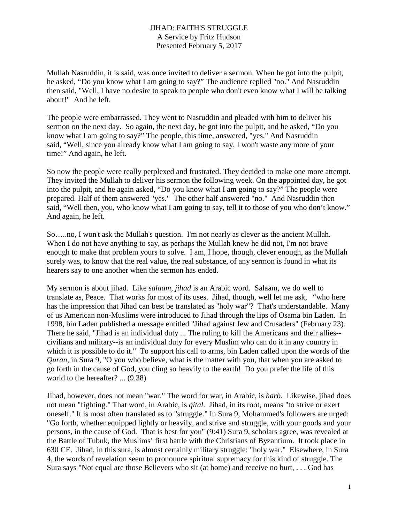## JIHAD: FAITH'S STRUGGLE A Service by Fritz Hudson Presented February 5, 2017

Mullah Nasruddin, it is said, was once invited to deliver a sermon. When he got into the pulpit, he asked, "Do you know what I am going to say?" The audience replied "no." And Nasruddin then said, "Well, I have no desire to speak to people who don't even know what I will be talking about!" And he left.

The people were embarrassed. They went to Nasruddin and pleaded with him to deliver his sermon on the next day. So again, the next day, he got into the pulpit, and he asked, "Do you know what I am going to say?" The people, this time, answered, "yes." And Nasruddin said, "Well, since you already know what I am going to say, I won't waste any more of your time!" And again, he left.

So now the people were really perplexed and frustrated. They decided to make one more attempt. They invited the Mullah to deliver his sermon the following week. On the appointed day, he got into the pulpit, and he again asked, "Do you know what I am going to say?" The people were prepared. Half of them answered "yes." The other half answered "no." And Nasruddin then said, "Well then, you, who know what I am going to say, tell it to those of you who don't know." And again, he left.

So…..no, I won't ask the Mullah's question. I'm not nearly as clever as the ancient Mullah. When I do not have anything to say, as perhaps the Mullah knew he did not, I'm not brave enough to make that problem yours to solve. I am, I hope, though, clever enough, as the Mullah surely was, to know that the real value, the real substance, of any sermon is found in what its hearers say to one another when the sermon has ended.

My sermon is about jihad. Like *salaam*, *jihad* is an Arabic word. Salaam, we do well to translate as, Peace. That works for most of its uses. Jihad, though, well let me ask, "who here has the impression that Jihad can best be translated as "holy war"? That's understandable. Many of us American non-Muslims were introduced to Jihad through the lips of Osama bin Laden. In 1998, bin Laden published a message entitled "Jihad against Jew and Crusaders" (February 23). There he said, "Jihad is an individual duty ... The ruling to kill the Americans and their allies- civilians and military--is an individual duty for every Muslim who can do it in any country in which it is possible to do it." To support his call to arms, bin Laden called upon the words of the *Quran*, in Sura 9, "O you who believe, what is the matter with you, that when you are asked to go forth in the cause of God, you cling so heavily to the earth! Do you prefer the life of this world to the hereafter? ... (9.38)

Jihad, however, does not mean "war." The word for war, in Arabic, is *harb*. Likewise, jihad does not mean "fighting." That word, in Arabic, is *qital*. Jihad, in its root, means "to strive or exert oneself." It is most often translated as to "struggle." In Sura 9, Mohammed's followers are urged: "Go forth, whether equipped lightly or heavily, and strive and struggle, with your goods and your persons, in the cause of God. That is best for you" (9:41) Sura 9, scholars agree, was revealed at the Battle of Tubuk, the Muslims' first battle with the Christians of Byzantium. It took place in 630 CE. Jihad, in this sura, is almost certainly military struggle: "holy war." Elsewhere, in Sura 4, the words of revelation seem to pronounce spiritual supremacy for this kind of struggle. The Sura says "Not equal are those Believers who sit (at home) and receive no hurt, . . . God has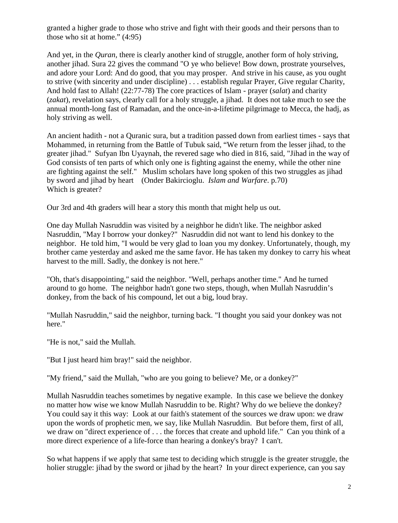granted a higher grade to those who strive and fight with their goods and their persons than to those who sit at home." (4:95)

And yet, in the *Quran*, there is clearly another kind of struggle, another form of holy striving, another jihad. Sura 22 gives the command "O ye who believe! Bow down, prostrate yourselves, and adore your Lord: And do good, that you may prosper. And strive in his cause, as you ought to strive (with sincerity and under discipline) . . . establish regular Prayer, Give regular Charity, And hold fast to Allah! (22:77-78) The core practices of Islam - prayer (*salat*) and charity (*zakat*), revelation says, clearly call for a holy struggle, a jihad. It does not take much to see the annual month-long fast of Ramadan, and the once-in-a-lifetime pilgrimage to Mecca, the hadj, as holy striving as well.

An ancient hadith - not a Quranic sura, but a tradition passed down from earliest times - says that Mohammed, in returning from the Battle of Tubuk said, "We return from the lesser jihad, to the greater jihad." Sufyan Ibn Uyaynah, the revered sage who died in 816, said, "Jihad in the way of God consists of ten parts of which only one is fighting against the enemy, while the other nine are fighting against the self." Muslim scholars have long spoken of this two struggles as jihad by sword and jihad by heart (Onder Bakircioglu. *Islam and Warfare*. p.70) Which is greater?

Our 3rd and 4th graders will hear a story this month that might help us out.

One day Mullah Nasruddin was visited by a neighbor he didn't like. The neighbor asked Nasruddin, "May I borrow your donkey?" Nasruddin did not want to lend his donkey to the neighbor. He told him, "I would be very glad to loan you my donkey. Unfortunately, though, my brother came yesterday and asked me the same favor. He has taken my donkey to carry his wheat harvest to the mill. Sadly, the donkey is not here."

"Oh, that's disappointing," said the neighbor. "Well, perhaps another time." And he turned around to go home. The neighbor hadn't gone two steps, though, when Mullah Nasruddin's donkey, from the back of his compound, let out a big, loud bray.

"Mullah Nasruddin," said the neighbor, turning back. "I thought you said your donkey was not here."

"He is not," said the Mullah.

"But I just heard him bray!" said the neighbor.

"My friend," said the Mullah, "who are you going to believe? Me, or a donkey?"

Mullah Nasruddin teaches sometimes by negative example. In this case we believe the donkey no matter how wise we know Mullah Nasruddin to be. Right? Why do we believe the donkey? You could say it this way: Look at our faith's statement of the sources we draw upon: we draw upon the words of prophetic men, we say, like Mullah Nasruddin. But before them, first of all, we draw on "direct experience of . . . the forces that create and uphold life." Can you think of a more direct experience of a life-force than hearing a donkey's bray? I can't.

So what happens if we apply that same test to deciding which struggle is the greater struggle, the holier struggle: jihad by the sword or jihad by the heart? In your direct experience, can you say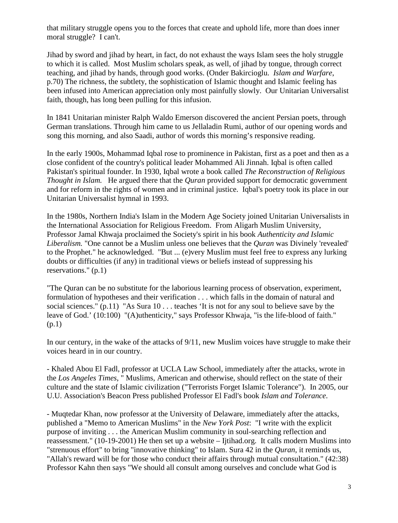that military struggle opens you to the forces that create and uphold life, more than does inner moral struggle? I can't.

Jihad by sword and jihad by heart, in fact, do not exhaust the ways Islam sees the holy struggle to which it is called. Most Muslim scholars speak, as well, of jihad by tongue, through correct teaching, and jihad by hands, through good works. (Onder Bakircioglu. *Islam and Warfare*, p.70) The richness, the subtlety, the sophistication of Islamic thought and Islamic feeling has been infused into American appreciation only most painfully slowly. Our Unitarian Universalist faith, though, has long been pulling for this infusion.

In 1841 Unitarian minister Ralph Waldo Emerson discovered the ancient Persian poets, through German translations. Through him came to us Jellaladin Rumi, author of our opening words and song this morning, and also Saadi, author of words this morning's responsive reading.

In the early 1900s, Mohammad Iqbal rose to prominence in Pakistan, first as a poet and then as a close confident of the country's political leader Mohammed Ali Jinnah. Iqbal is often called Pakistan's spiritual founder. In 1930, Iqbal wrote a book called *The Reconstruction of Religious Thought in Islam.* He argued there that the *Quran* provided support for democratic government and for reform in the rights of women and in criminal justice. Iqbal's poetry took its place in our Unitarian Universalist hymnal in 1993.

In the 1980s, Northern India's Islam in the Modern Age Society joined Unitarian Universalists in the International Association for Religious Freedom. From Aligarh Muslim University, Professor Jamal Khwaja proclaimed the Society's spirit in his book *Authenticity and Islamic Liberalism.* "One cannot be a Muslim unless one believes that the *Quran* was Divinely 'revealed' to the Prophet." he acknowledged. "But ... (e)very Muslim must feel free to express any lurking doubts or difficulties (if any) in traditional views or beliefs instead of suppressing his reservations." (p.1)

"The Quran can be no substitute for the laborious learning process of observation, experiment, formulation of hypotheses and their verification . . . which falls in the domain of natural and social sciences." (p.11) "As Sura 10 . . . teaches 'It is not for any soul to believe save by the leave of God.' (10:100) "(A)uthenticity," says Professor Khwaja, "is the life-blood of faith." (p.1)

In our century, in the wake of the attacks of 9/11, new Muslim voices have struggle to make their voices heard in in our country.

- Khaled Abou El Fadl, professor at UCLA Law School, immediately after the attacks, wrote in the *Los Angeles Times*, " Muslims, American and otherwise, should reflect on the state of their culture and the state of Islamic civilization ("Terrorists Forget Islamic Tolerance"). In 2005, our U.U. Association's Beacon Press published Professor El Fadl's book *Islam and Tolerance*.

- Muqtedar Khan, now professor at the University of Delaware, immediately after the attacks, published a "Memo to American Muslims" in the *New York Post*: "I write with the explicit purpose of inviting . . . the American Muslim community in soul-searching reflection and reassessment." (10-19-2001) He then set up a website – Ijtihad.org. It calls modern Muslims into "strenuous effort" to bring "innovative thinking" to Islam. Sura 42 in the *Quran*, it reminds us, "Allah's reward will be for those who conduct their affairs through mutual consultation." (42:38) Professor Kahn then says "We should all consult among ourselves and conclude what God is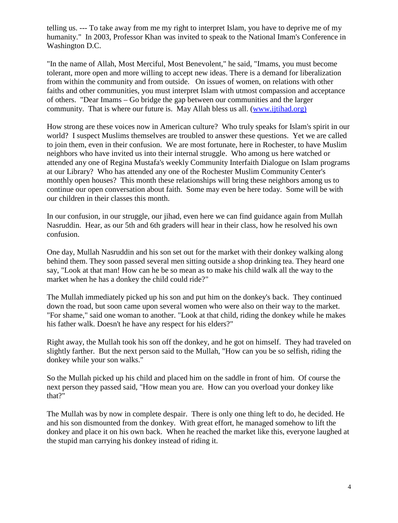telling us. --- To take away from me my right to interpret Islam, you have to deprive me of my humanity." In 2003, Professor Khan was invited to speak to the National Imam's Conference in Washington D.C.

"In the name of Allah, Most Merciful, Most Benevolent," he said, "Imams, you must become tolerant, more open and more willing to accept new ideas. There is a demand for liberalization from within the community and from outside. On issues of women, on relations with other faiths and other communities, you must interpret Islam with utmost compassion and acceptance of others. "Dear Imams – Go bridge the gap between our communities and the larger community. That is where our future is. May Allah bless us all. [\(www.ijtihad.org\)](http://www.ijtihad.org)/)

How strong are these voices now in American culture? Who truly speaks for Islam's spirit in our world? I suspect Muslims themselves are troubled to answer these questions. Yet we are called to join them, even in their confusion. We are most fortunate, here in Rochester, to have Muslim neighbors who have invited us into their internal struggle. Who among us here watched or attended any one of Regina Mustafa's weekly Community Interfaith Dialogue on Islam programs at our Library? Who has attended any one of the Rochester Muslim Community Center's monthly open houses? This month these relationships will bring these neighbors among us to continue our open conversation about faith. Some may even be here today. Some will be with our children in their classes this month.

In our confusion, in our struggle, our jihad, even here we can find guidance again from Mullah Nasruddin. Hear, as our 5th and 6th graders will hear in their class, how he resolved his own confusion.

One day, Mullah Nasruddin and his son set out for the market with their donkey walking along behind them. They soon passed several men sitting outside a shop drinking tea. They heard one say, "Look at that man! How can he be so mean as to make his child walk all the way to the market when he has a donkey the child could ride?"

The Mullah immediately picked up his son and put him on the donkey's back. They continued down the road, but soon came upon several women who were also on their way to the market. "For shame," said one woman to another. "Look at that child, riding the donkey while he makes his father walk. Doesn't he have any respect for his elders?"

Right away, the Mullah took his son off the donkey, and he got on himself. They had traveled on slightly farther. But the next person said to the Mullah, "How can you be so selfish, riding the donkey while your son walks."

So the Mullah picked up his child and placed him on the saddle in front of him. Of course the next person they passed said, "How mean you are. How can you overload your donkey like that?"

The Mullah was by now in complete despair. There is only one thing left to do, he decided. He and his son dismounted from the donkey. With great effort, he managed somehow to lift the donkey and place it on his own back. When he reached the market like this, everyone laughed at the stupid man carrying his donkey instead of riding it.